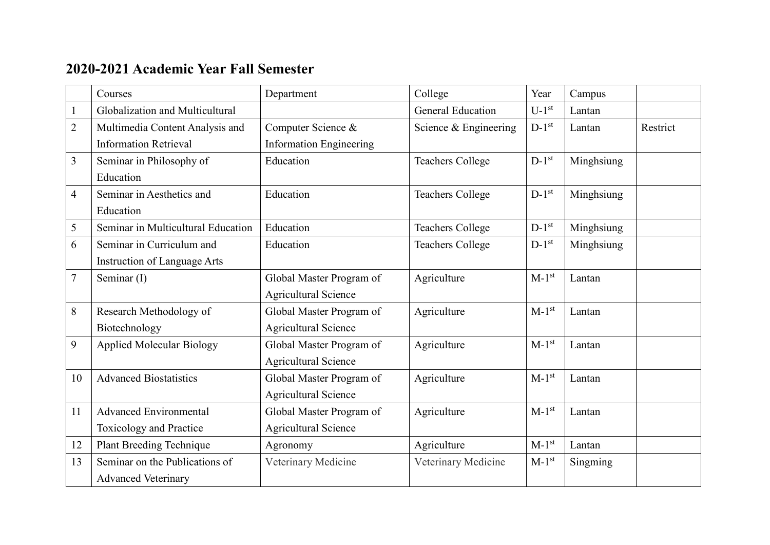## **2020-2021 Academic Year Fall Semester**

|                | Courses                            | Department                     | College                  | Year                | Campus     |          |
|----------------|------------------------------------|--------------------------------|--------------------------|---------------------|------------|----------|
|                | Globalization and Multicultural    |                                | <b>General Education</b> | $U-1$ <sup>st</sup> | Lantan     |          |
| $\overline{2}$ | Multimedia Content Analysis and    | Computer Science &             | Science & Engineering    | $D-1^{st}$          | Lantan     | Restrict |
|                | <b>Information Retrieval</b>       | <b>Information Engineering</b> |                          |                     |            |          |
| $\overline{3}$ | Seminar in Philosophy of           | Education                      | <b>Teachers College</b>  | $D-1^{st}$          | Minghsiung |          |
|                | Education                          |                                |                          |                     |            |          |
| $\overline{4}$ | Seminar in Aesthetics and          | Education                      | <b>Teachers College</b>  | $D-1^{st}$          | Minghsiung |          |
|                | Education                          |                                |                          |                     |            |          |
| 5              | Seminar in Multicultural Education | Education                      | <b>Teachers College</b>  | $D-1^{st}$          | Minghsiung |          |
| 6              | Seminar in Curriculum and          | Education                      | <b>Teachers College</b>  | $D-1^{st}$          | Minghsiung |          |
|                | Instruction of Language Arts       |                                |                          |                     |            |          |
| $\overline{7}$ | Seminar (I)                        | Global Master Program of       | Agriculture              | $M-1st$             | Lantan     |          |
|                |                                    | <b>Agricultural Science</b>    |                          |                     |            |          |
| 8              | Research Methodology of            | Global Master Program of       | Agriculture              | $M-1st$             | Lantan     |          |
|                | Biotechnology                      | <b>Agricultural Science</b>    |                          |                     |            |          |
| 9              | <b>Applied Molecular Biology</b>   | Global Master Program of       | Agriculture              | $M-1st$             | Lantan     |          |
|                |                                    | <b>Agricultural Science</b>    |                          |                     |            |          |
| 10             | <b>Advanced Biostatistics</b>      | Global Master Program of       | Agriculture              | $M-1st$             | Lantan     |          |
|                |                                    | <b>Agricultural Science</b>    |                          |                     |            |          |
| 11             | <b>Advanced Environmental</b>      | Global Master Program of       | Agriculture              | $M-1^{st}$          | Lantan     |          |
|                | Toxicology and Practice            | <b>Agricultural Science</b>    |                          |                     |            |          |
| 12             | <b>Plant Breeding Technique</b>    | Agronomy                       | Agriculture              | $M-1st$             | Lantan     |          |
| 13             | Seminar on the Publications of     | Veterinary Medicine            | Veterinary Medicine      | $M-1st$             | Singming   |          |
|                | <b>Advanced Veterinary</b>         |                                |                          |                     |            |          |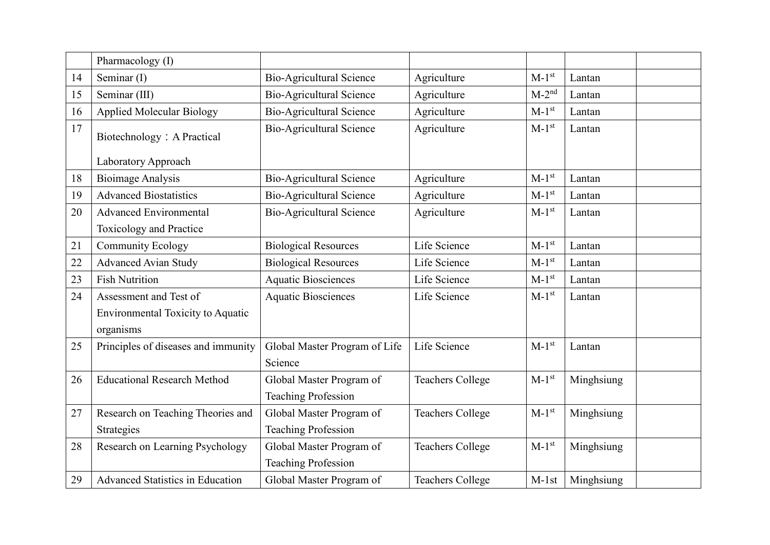|    | Pharmacology (I)                         |                                 |                         |            |            |
|----|------------------------------------------|---------------------------------|-------------------------|------------|------------|
| 14 | Seminar (I)                              | Bio-Agricultural Science        | Agriculture             | $M-1st$    | Lantan     |
| 15 | Seminar (III)                            | Bio-Agricultural Science        | Agriculture             | $M-2^{nd}$ | Lantan     |
| 16 | <b>Applied Molecular Biology</b>         | <b>Bio-Agricultural Science</b> | Agriculture             | $M-1st$    | Lantan     |
| 17 | Biotechnology: A Practical               | <b>Bio-Agricultural Science</b> | Agriculture             | $M-1st$    | Lantan     |
|    | Laboratory Approach                      |                                 |                         |            |            |
| 18 | <b>Bioimage Analysis</b>                 | <b>Bio-Agricultural Science</b> | Agriculture             | $M-1^{st}$ | Lantan     |
| 19 | <b>Advanced Biostatistics</b>            | <b>Bio-Agricultural Science</b> | Agriculture             | $M-1st$    | Lantan     |
| 20 | <b>Advanced Environmental</b>            | <b>Bio-Agricultural Science</b> | Agriculture             | $M-1st$    | Lantan     |
|    | Toxicology and Practice                  |                                 |                         |            |            |
| 21 | <b>Community Ecology</b>                 | <b>Biological Resources</b>     | Life Science            | $M-1st$    | Lantan     |
| 22 | <b>Advanced Avian Study</b>              | <b>Biological Resources</b>     | Life Science            | $M-1st$    | Lantan     |
| 23 | <b>Fish Nutrition</b>                    | <b>Aquatic Biosciences</b>      | Life Science            | $M-1st$    | Lantan     |
| 24 | Assessment and Test of                   | <b>Aquatic Biosciences</b>      | Life Science            | $M-1st$    | Lantan     |
|    | <b>Environmental Toxicity to Aquatic</b> |                                 |                         |            |            |
|    | organisms                                |                                 |                         |            |            |
| 25 | Principles of diseases and immunity      | Global Master Program of Life   | Life Science            | $M-1st$    | Lantan     |
|    |                                          | Science                         |                         |            |            |
| 26 | <b>Educational Research Method</b>       | Global Master Program of        | <b>Teachers College</b> | $M-1st$    | Minghsiung |
|    |                                          | <b>Teaching Profession</b>      |                         |            |            |
| 27 | Research on Teaching Theories and        | Global Master Program of        | <b>Teachers College</b> | $M-1st$    | Minghsiung |
|    | Strategies                               | <b>Teaching Profession</b>      |                         |            |            |
| 28 | Research on Learning Psychology          | Global Master Program of        | <b>Teachers College</b> | $M-1^{st}$ | Minghsiung |
|    |                                          | <b>Teaching Profession</b>      |                         |            |            |
| 29 | <b>Advanced Statistics in Education</b>  | Global Master Program of        | <b>Teachers College</b> | $M-1st$    | Minghsiung |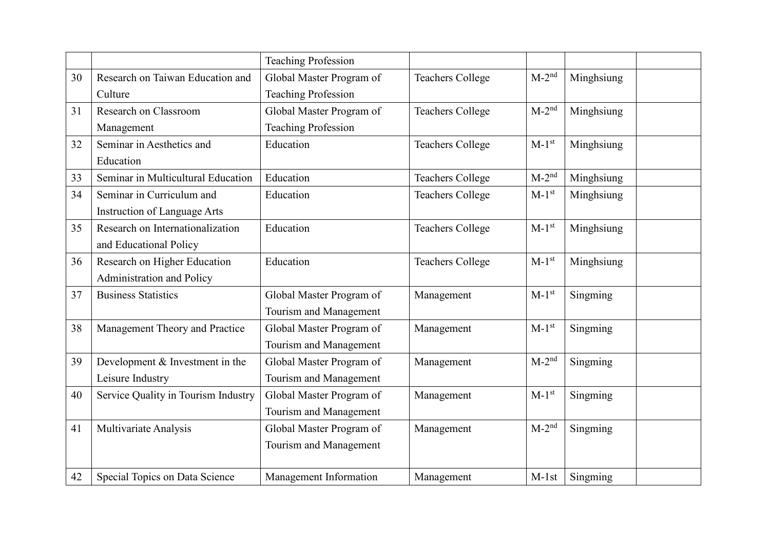|    |                                     | <b>Teaching Profession</b> |                         |            |            |
|----|-------------------------------------|----------------------------|-------------------------|------------|------------|
| 30 | Research on Taiwan Education and    | Global Master Program of   | <b>Teachers College</b> | $M-2^{nd}$ | Minghsiung |
|    | Culture                             | <b>Teaching Profession</b> |                         |            |            |
| 31 | Research on Classroom               | Global Master Program of   | <b>Teachers College</b> | $M-2^{nd}$ | Minghsiung |
|    | Management                          | <b>Teaching Profession</b> |                         |            |            |
| 32 | Seminar in Aesthetics and           | Education                  | <b>Teachers College</b> | $M-1^{st}$ | Minghsiung |
|    | Education                           |                            |                         |            |            |
| 33 | Seminar in Multicultural Education  | Education                  | <b>Teachers College</b> | $M-2^{nd}$ | Minghsiung |
| 34 | Seminar in Curriculum and           | Education                  | <b>Teachers College</b> | $M-1st$    | Minghsiung |
|    | Instruction of Language Arts        |                            |                         |            |            |
| 35 | Research on Internationalization    | Education                  | <b>Teachers College</b> | $M-1st$    | Minghsiung |
|    | and Educational Policy              |                            |                         |            |            |
| 36 | Research on Higher Education        | Education                  | <b>Teachers College</b> | $M-1st$    | Minghsiung |
|    | Administration and Policy           |                            |                         |            |            |
| 37 | <b>Business Statistics</b>          | Global Master Program of   | Management              | $M-1st$    | Singming   |
|    |                                     | Tourism and Management     |                         |            |            |
| 38 | Management Theory and Practice      | Global Master Program of   | Management              | $M-1st$    | Singming   |
|    |                                     | Tourism and Management     |                         |            |            |
| 39 | Development & Investment in the     | Global Master Program of   | Management              | $M-2^{nd}$ | Singming   |
|    | Leisure Industry                    | Tourism and Management     |                         |            |            |
| 40 | Service Quality in Tourism Industry | Global Master Program of   | Management              | $M-1st$    | Singming   |
|    |                                     | Tourism and Management     |                         |            |            |
| 41 | Multivariate Analysis               | Global Master Program of   | Management              | $M-2^{nd}$ | Singming   |
|    |                                     | Tourism and Management     |                         |            |            |
|    |                                     |                            |                         |            |            |
| 42 | Special Topics on Data Science      | Management Information     | Management              | $M-1st$    | Singming   |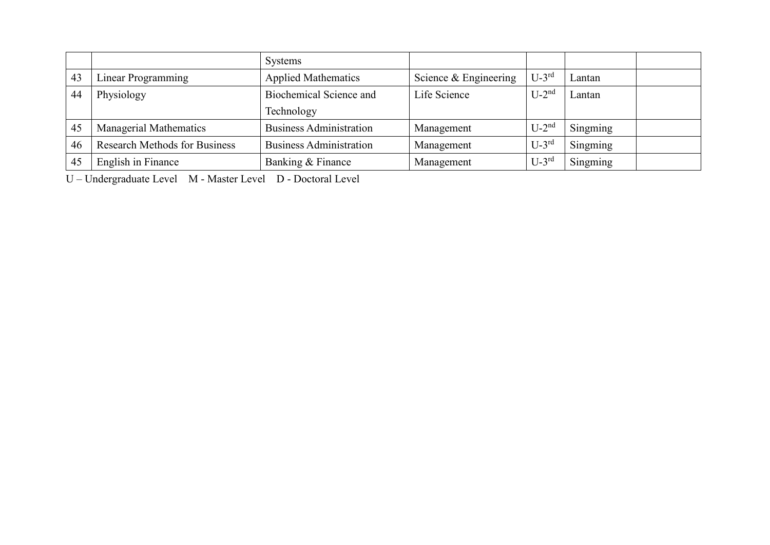|    |                                      | <b>Systems</b>                 |                       |            |          |
|----|--------------------------------------|--------------------------------|-----------------------|------------|----------|
| 43 | Linear Programming                   | <b>Applied Mathematics</b>     | Science & Engineering | $U-3^{rd}$ | Lantan   |
| 44 | Physiology                           | <b>Biochemical Science and</b> | Life Science          | $U-2^{nd}$ | Lantan   |
|    |                                      | Technology                     |                       |            |          |
| 45 | Managerial Mathematics               | <b>Business Administration</b> | Management            | $U-2^{nd}$ | Singming |
| 46 | <b>Research Methods for Business</b> | <b>Business Administration</b> | Management            | $U-3^{rd}$ | Singming |
| 45 | English in Finance                   | Banking & Finance              | Management            | $U-3^{rd}$ | Singming |

U – Undergraduate Level M - Master Level D - Doctoral Level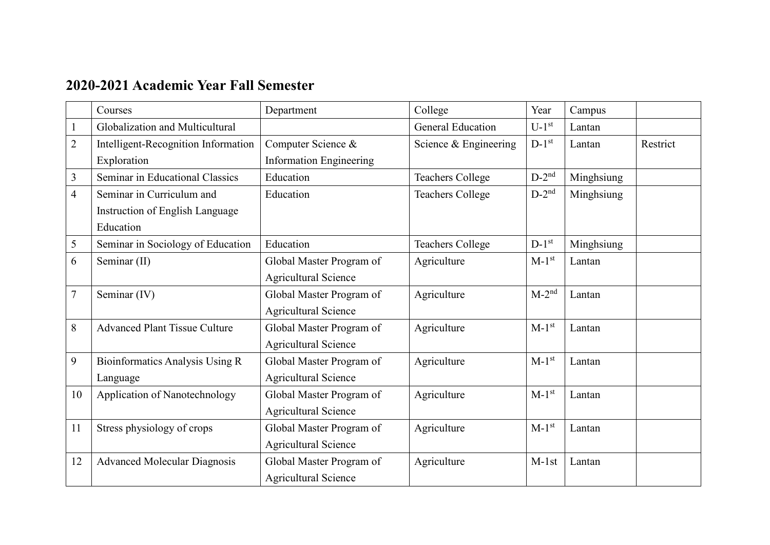## **2020-2021 Academic Year Fall Semester**

|                | Courses                              | Department                     | College                  | Year                | Campus     |          |
|----------------|--------------------------------------|--------------------------------|--------------------------|---------------------|------------|----------|
|                | Globalization and Multicultural      |                                | <b>General Education</b> | $U-1$ <sup>st</sup> | Lantan     |          |
| $\overline{2}$ | Intelligent-Recognition Information  | Computer Science &             | Science & Engineering    | $D-1^{st}$          | Lantan     | Restrict |
|                | Exploration                          | <b>Information Engineering</b> |                          |                     |            |          |
| 3              | Seminar in Educational Classics      | Education                      | <b>Teachers College</b>  | $D-2^{nd}$          | Minghsiung |          |
| $\overline{4}$ | Seminar in Curriculum and            | Education                      | <b>Teachers College</b>  | $D-2^{nd}$          | Minghsiung |          |
|                | Instruction of English Language      |                                |                          |                     |            |          |
|                | Education                            |                                |                          |                     |            |          |
| 5              | Seminar in Sociology of Education    | Education                      | <b>Teachers College</b>  | $D-1^{st}$          | Minghsiung |          |
| 6              | Seminar (II)                         | Global Master Program of       | Agriculture              | $M-1st$             | Lantan     |          |
|                |                                      | <b>Agricultural Science</b>    |                          |                     |            |          |
| $\overline{7}$ | Seminar (IV)                         | Global Master Program of       | Agriculture              | $M-2^{nd}$          | Lantan     |          |
|                |                                      | <b>Agricultural Science</b>    |                          |                     |            |          |
| 8              | <b>Advanced Plant Tissue Culture</b> | Global Master Program of       | Agriculture              | $M-1st$             | Lantan     |          |
|                |                                      | <b>Agricultural Science</b>    |                          |                     |            |          |
| 9              | Bioinformatics Analysis Using R      | Global Master Program of       | Agriculture              | $M-1st$             | Lantan     |          |
|                | Language                             | <b>Agricultural Science</b>    |                          |                     |            |          |
| 10             | Application of Nanotechnology        | Global Master Program of       | Agriculture              | $M-1st$             | Lantan     |          |
|                |                                      | <b>Agricultural Science</b>    |                          |                     |            |          |
| 11             | Stress physiology of crops           | Global Master Program of       | Agriculture              | $M-1st$             | Lantan     |          |
|                |                                      | <b>Agricultural Science</b>    |                          |                     |            |          |
| 12             | <b>Advanced Molecular Diagnosis</b>  | Global Master Program of       | Agriculture              | $M-1st$             | Lantan     |          |
|                |                                      | <b>Agricultural Science</b>    |                          |                     |            |          |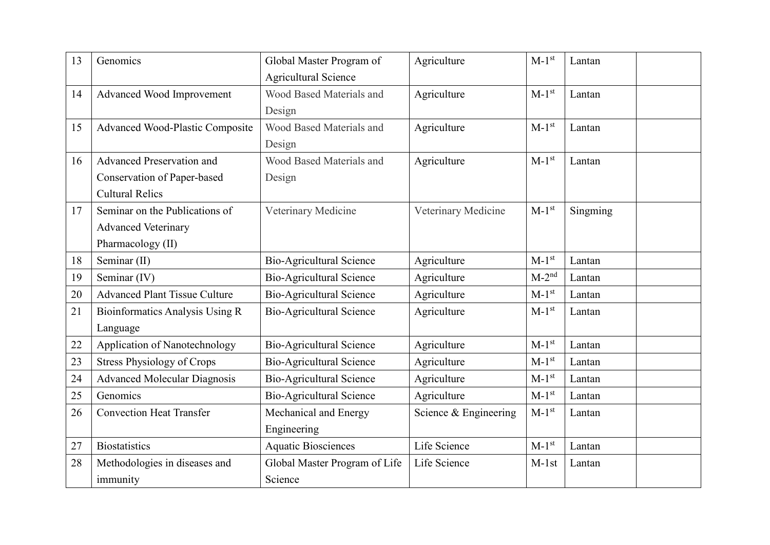| 13 | Genomics                             | Global Master Program of        | Agriculture           | $M-1st$    | Lantan   |
|----|--------------------------------------|---------------------------------|-----------------------|------------|----------|
|    |                                      | <b>Agricultural Science</b>     |                       |            |          |
| 14 | Advanced Wood Improvement            | Wood Based Materials and        | Agriculture           | $M-1st$    | Lantan   |
|    |                                      | Design                          |                       |            |          |
| 15 | Advanced Wood-Plastic Composite      | Wood Based Materials and        | Agriculture           | $M-1st$    | Lantan   |
|    |                                      | Design                          |                       |            |          |
| 16 | Advanced Preservation and            | Wood Based Materials and        | Agriculture           | $M-1st$    | Lantan   |
|    | Conservation of Paper-based          | Design                          |                       |            |          |
|    | <b>Cultural Relics</b>               |                                 |                       |            |          |
| 17 | Seminar on the Publications of       | Veterinary Medicine             | Veterinary Medicine   | $M-1st$    | Singming |
|    | <b>Advanced Veterinary</b>           |                                 |                       |            |          |
|    | Pharmacology (II)                    |                                 |                       |            |          |
| 18 | Seminar (II)                         | <b>Bio-Agricultural Science</b> | Agriculture           | $M-1st$    | Lantan   |
| 19 | Seminar (IV)                         | <b>Bio-Agricultural Science</b> | Agriculture           | $M-2^{nd}$ | Lantan   |
| 20 | <b>Advanced Plant Tissue Culture</b> | Bio-Agricultural Science        | Agriculture           | $M-1st$    | Lantan   |
| 21 | Bioinformatics Analysis Using R      | <b>Bio-Agricultural Science</b> | Agriculture           | $M-1st$    | Lantan   |
|    | Language                             |                                 |                       |            |          |
| 22 | Application of Nanotechnology        | <b>Bio-Agricultural Science</b> | Agriculture           | $M-1st$    | Lantan   |
| 23 | <b>Stress Physiology of Crops</b>    | <b>Bio-Agricultural Science</b> | Agriculture           | $M-1st$    | Lantan   |
| 24 | <b>Advanced Molecular Diagnosis</b>  | <b>Bio-Agricultural Science</b> | Agriculture           | $M-1st$    | Lantan   |
| 25 | Genomics                             | <b>Bio-Agricultural Science</b> | Agriculture           | $M-1st$    | Lantan   |
| 26 | <b>Convection Heat Transfer</b>      | Mechanical and Energy           | Science & Engineering | $M-1st$    | Lantan   |
|    |                                      | Engineering                     |                       |            |          |
| 27 | <b>Biostatistics</b>                 | <b>Aquatic Biosciences</b>      | Life Science          | $M-1^{st}$ | Lantan   |
| 28 | Methodologies in diseases and        | Global Master Program of Life   | Life Science          | $M-1st$    | Lantan   |
|    | immunity                             | Science                         |                       |            |          |